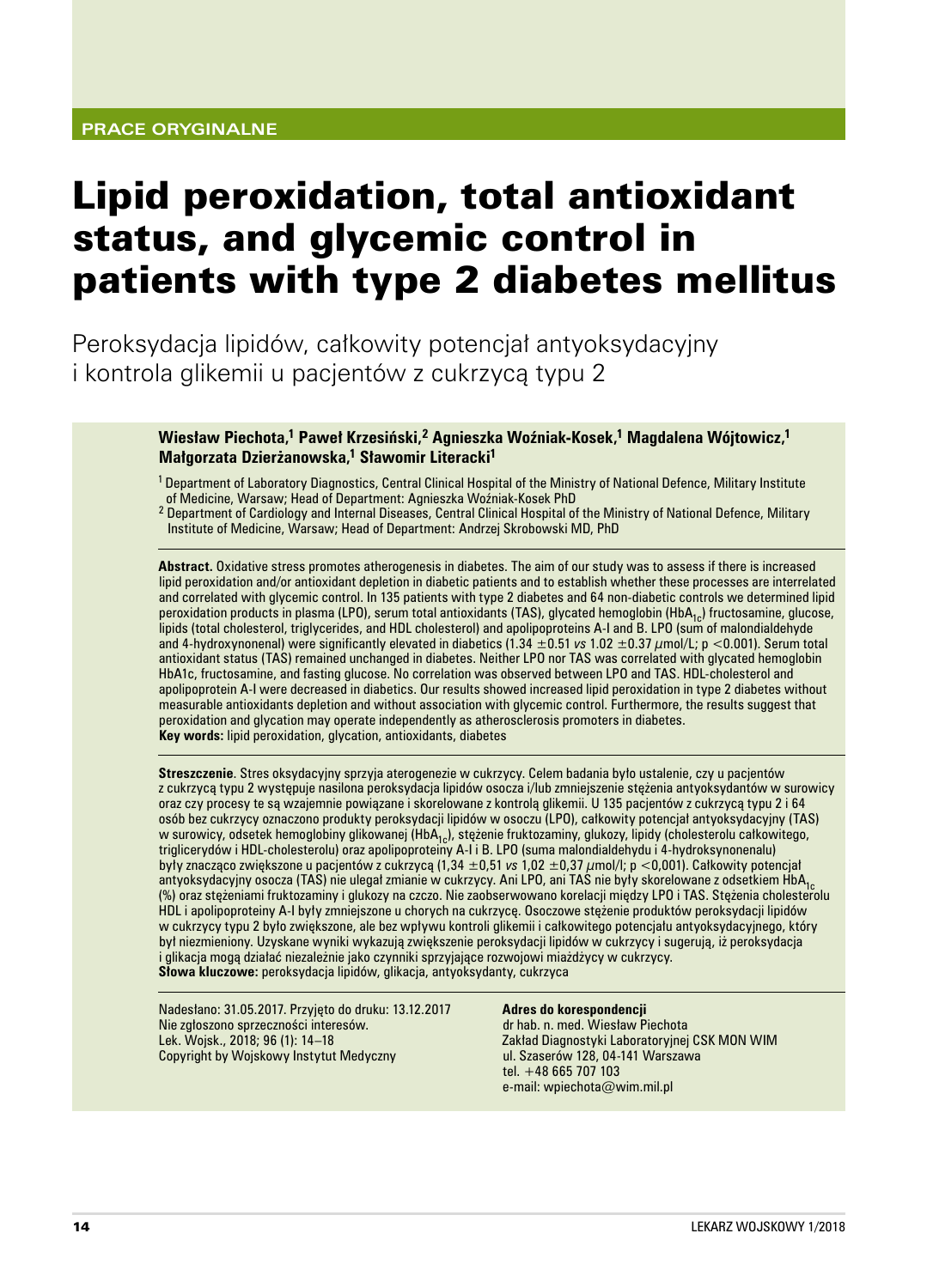# Lipid peroxidation, total antioxidant status, and glycemic control in patients with type 2 diabetes mellitus

Peroksydacja lipidów, całkowity potencjał antyoksydacyjny i kontrola glikemii u pacjentów z cukrzycą typu 2

> **Wiesław Piechota,1 Paweł Krzesiński,2 Agnieszka Woźniak‑Kosek,1 Magdalena Wójtowicz,<sup>1</sup> Małgorzata Dzierżanowska,1 Sławomir Literacki<sup>1</sup>**

1 Department of Laboratory Diagnostics, Central Clinical Hospital of the Ministry of National Defence, Military Institute of Medicine, Warsaw; Head of Department: Agnieszka Woźniak‑Kosek PhD

<sup>2</sup> Department of Cardiology and Internal Diseases, Central Clinical Hospital of the Ministry of National Defence, Military Institute of Medicine, Warsaw; Head of Department: Andrzej Skrobowski MD, PhD

**Abstract.** Oxidative stress promotes atherogenesis in diabetes. The aim of our study was to assess if there is increased lipid peroxidation and/or antioxidant depletion in diabetic patients and to establish whether these processes are interrelated and correlated with glycemic control. In 135 patients with type 2 diabetes and 64 non-diabetic controls we determined lipid peroxidation products in plasma (LPO), serum total antioxidants (TAS), glycated hemoglobin (HbA<sub>1c</sub>) fructosamine, glucose, lipids (total cholesterol, triglycerides, and HDL cholesterol) and apolipoproteins A-I and B. LPO (sum of malondialdehyde and 4‑hydroxynonenal) were significantly elevated in diabetics (1.34 ±0.51 *vs* 1.02 ±0.37 µmol/L; p <0.001). Serum total antioxidant status (TAS) remained unchanged in diabetes. Neither LPO nor TAS was correlated with glycated hemoglobin HbA1c, fructosamine, and fasting glucose. No correlation was observed between LPO and TAS. HDL‑cholesterol and apolipoprotein A‑I were decreased in diabetics. Our results showed increased lipid peroxidation in type 2 diabetes without measurable antioxidants depletion and without association with glycemic control. Furthermore, the results suggest that peroxidation and glycation may operate independently as atherosclerosis promoters in diabetes. **Key words:** lipid peroxidation, glycation, antioxidants, diabetes

**Streszczenie**. Stres oksydacyjny sprzyja aterogenezie w cukrzycy. Celem badania było ustalenie, czy u pacjentów z cukrzycą typu 2 występuje nasilona peroksydacja lipidów osocza i/lub zmniejszenie stężenia antyoksydantów w surowicy oraz czy procesy te są wzajemnie powiązane i skorelowane z kontrolą glikemii. U 135 pacjentów z cukrzycą typu 2 i 64 osób bez cukrzycy oznaczono produkty peroksydacji lipidów w osoczu (LPO), całkowity potencjał antyoksydacyjny (TAS) w surowicy, odsetek hemoglobiny glikowanej (HbA<sub>1c</sub>), stężenie fruktozaminy, glukozy, lipidy (cholesterolu całkowitego, triglicerydów i HDL‑cholesterolu) oraz apolipoproteiny A‑I i B. LPO (suma malondialdehydu i 4‑hydroksynonenalu) były znacząco zwiększone u pacjentów z cukrzycą (1,34 ±0,51 *vs* 1,02 ±0,37 µmol/l; p <0,001). Całkowity potencjał antyoksydacyjny osocza (TAS) nie ulegał zmianie w cukrzycy. Ani LPO, ani TAS nie były skorelowane z odsetkiem HbA<sub>1c</sub><br>(%) oraz stężeniami fruktozaminy i glukozy na czczo. Nie zaobserwowano korelacji między LPO i TAS. Stęże HDL i apolipoproteiny A‑I były zmniejszone u chorych na cukrzycę. Osoczowe stężenie produktów peroksydacji lipidów w cukrzycy typu 2 było zwiększone, ale bez wpływu kontroli glikemii i całkowitego potencjału antyoksydacyjnego, który był niezmieniony. Uzyskane wyniki wykazują zwiększenie peroksydacji lipidów w cukrzycy i sugerują, iż peroksydacja i glikacja mogą działać niezależnie jako czynniki sprzyjające rozwojowi miażdżycy w cukrzycy. **Słowa kluczowe:** peroksydacja lipidów, glikacja, antyoksydanty, cukrzyca

Nadesłano: 31.05.2017. Przyjęto do druku: 13.12.2017 Nie zgłoszono sprzeczności interesów. Lek. Wojsk., 2018; 96 (1): 14–18 Copyright by Wojskowy Instytut Medyczny

#### **Adres do korespondencji**

dr hab. n. med. Wiesław Piechota Zakład Diagnostyki Laboratoryjnej CSK MON WIM ul. Szaserów 128, 04-141 Warszawa tel. +48 665 707 103 e‑mail: wpiechota@wim.mil.pl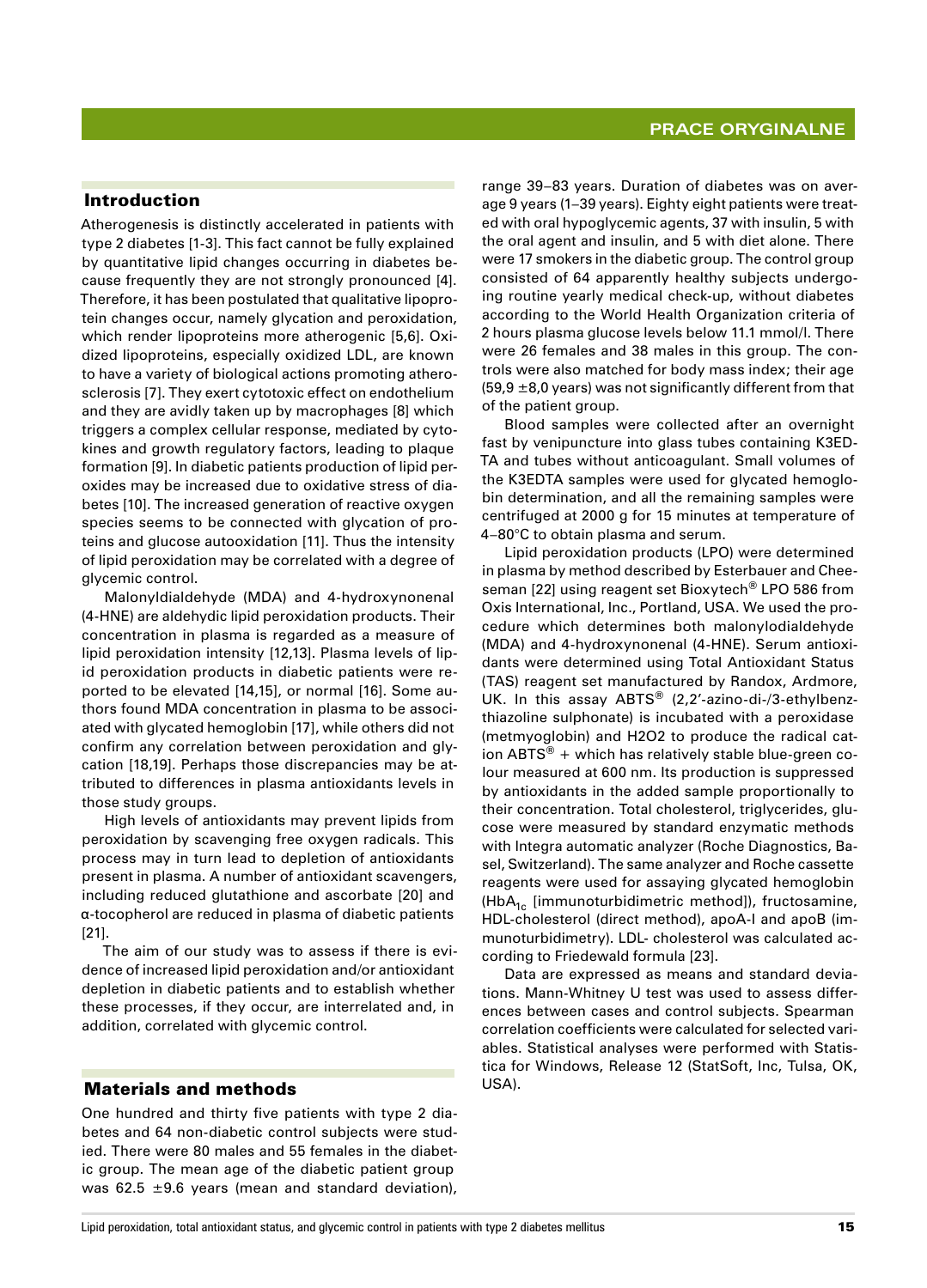# Introduction

Atherogenesis is distinctly accelerated in patients with type 2 diabetes [1-3]. This fact cannot be fully explained by quantitative lipid changes occurring in diabetes because frequently they are not strongly pronounced [4]. Therefore, it has been postulated that qualitative lipoprotein changes occur, namely glycation and peroxidation, which render lipoproteins more atherogenic [5,6]. Oxidized lipoproteins, especially oxidized LDL, are known to have a variety of biological actions promoting atherosclerosis [7]. They exert cytotoxic effect on endothelium and they are avidly taken up by macrophages [8] which triggers a complex cellular response, mediated by cytokines and growth regulatory factors, leading to plaque formation [9]. In diabetic patients production of lipid peroxides may be increased due to oxidative stress of diabetes [10]. The increased generation of reactive oxygen species seems to be connected with glycation of proteins and glucose autooxidation [11]. Thus the intensity of lipid peroxidation may be correlated with a degree of glycemic control.

Malonyldialdehyde (MDA) and 4‑hydroxynonenal (4‑HNE) are aldehydic lipid peroxidation products. Their concentration in plasma is regarded as a measure of lipid peroxidation intensity [12,13]. Plasma levels of lipid peroxidation products in diabetic patients were reported to be elevated [14,15], or normal [16]. Some authors found MDA concentration in plasma to be associated with glycated hemoglobin [17], while others did not confirm any correlation between peroxidation and glycation [18,19]. Perhaps those discrepancies may be attributed to differences in plasma antioxidants levels in those study groups.

High levels of antioxidants may prevent lipids from peroxidation by scavenging free oxygen radicals. This process may in turn lead to depletion of antioxidants present in plasma. A number of antioxidant scavengers, including reduced glutathione and ascorbate [20] and α‑tocopherol are reduced in plasma of diabetic patients [21].

The aim of our study was to assess if there is evidence of increased lipid peroxidation and/or antioxidant depletion in diabetic patients and to establish whether these processes, if they occur, are interrelated and, in addition, correlated with glycemic control.

#### Materials and methods

One hundred and thirty five patients with type 2 diabetes and 64 non-diabetic control subjects were studied. There were 80 males and 55 females in the diabetic group. The mean age of the diabetic patient group was 62.5  $\pm$ 9.6 years (mean and standard deviation),

range 39–83 years. Duration of diabetes was on average 9 years (1–39 years). Eighty eight patients were treated with oral hypoglycemic agents, 37 with insulin, 5 with the oral agent and insulin, and 5 with diet alone. There were 17 smokers in the diabetic group. The control group consisted of 64 apparently healthy subjects undergoing routine yearly medical check‑up, without diabetes according to the World Health Organization criteria of 2 hours plasma glucose levels below 11.1 mmol/l. There were 26 females and 38 males in this group. The controls were also matched for body mass index; their age (59,9  $\pm$ 8,0 years) was not significantly different from that of the patient group.

Blood samples were collected after an overnight fast by venipuncture into glass tubes containing K3ED-TA and tubes without anticoagulant. Small volumes of the K3EDTA samples were used for glycated hemoglobin determination, and all the remaining samples were centrifuged at 2000 g for 15 minutes at temperature of 4–80°C to obtain plasma and serum.

Lipid peroxidation products (LPO) were determined in plasma by method described by Esterbauer and Cheeseman [22] using reagent set Bioxytech® LPO 586 from Oxis International, Inc., Portland, USA. We used the procedure which determines both malonylodialdehyde (MDA) and 4‑hydroxynonenal (4‑HNE). Serum antioxidants were determined using Total Antioxidant Status (TAS) reagent set manufactured by Randox, Ardmore, UK. In this assay ABTS<sup>®</sup> (2,2'-azino-di-/3-ethylbenzthiazoline sulphonate) is incubated with a peroxidase (metmyoglobin) and H2O2 to produce the radical cation  $ABTS^{\circledast}$  + which has relatively stable blue-green colour measured at 600 nm. Its production is suppressed by antioxidants in the added sample proportionally to their concentration. Total cholesterol, triglycerides, glucose were measured by standard enzymatic methods with Integra automatic analyzer (Roche Diagnostics, Basel, Switzerland). The same analyzer and Roche cassette reagents were used for assaying glycated hemoglobin (HbA<sub>1c</sub> [immunoturbidimetric method]), fructosamine, HDL-cholesterol (direct method), apoA-I and apoB (immunoturbidimetry). LDL- cholesterol was calculated according to Friedewald formula [23].

Data are expressed as means and standard deviations. Mann‑Whitney U test was used to assess differences between cases and control subjects. Spearman correlation coefficients were calculated for selected variables. Statistical analyses were performed with Statistica for Windows, Release 12 (StatSoft, Inc, Tulsa, OK, USA).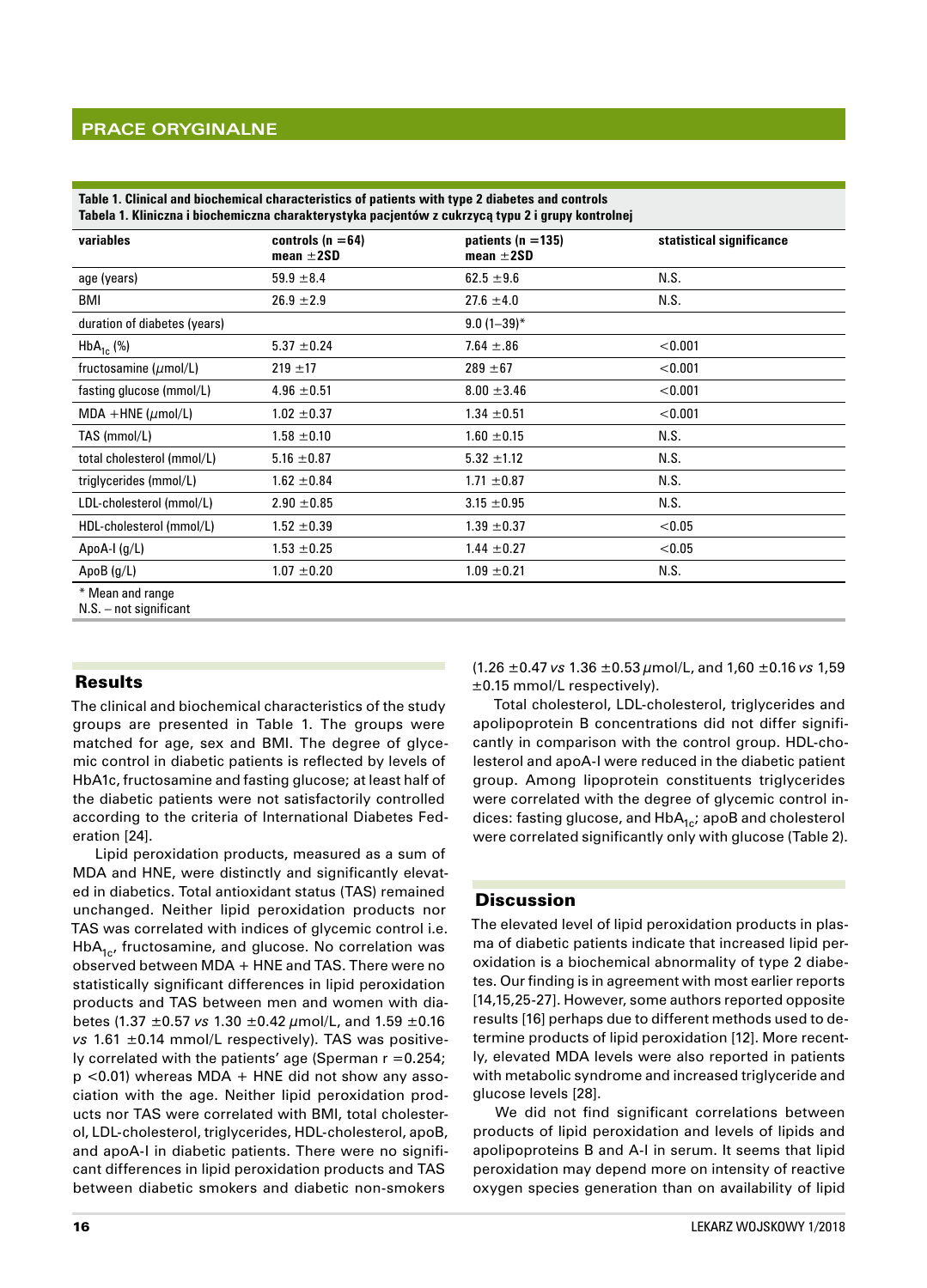# **Prace oryginalne**

|                              | Tabela 1. Kliniczna i biochemiczna charakterystyka pacjentów z cukrzycą typu 2 i grupy kontrolnej |                                          |                          |  |  |
|------------------------------|---------------------------------------------------------------------------------------------------|------------------------------------------|--------------------------|--|--|
| variables                    | controls $(n = 64)$<br>mean $\pm 2SD$                                                             | patients ( $n = 135$ )<br>mean $\pm 2SD$ | statistical significance |  |  |
| age (years)                  | $59.9 \pm 8.4$                                                                                    | $62.5 \pm 9.6$                           | N.S.                     |  |  |
| <b>BMI</b>                   | $26.9 \pm 2.9$                                                                                    | $27.6 \pm 4.0$                           | N.S.                     |  |  |
| duration of diabetes (years) |                                                                                                   | $9.0(1-39)^*$                            |                          |  |  |
| $HbA_{1c}$ (%)               | $5.37 \pm 0.24$                                                                                   | $7.64 \pm .86$                           | < 0.001                  |  |  |
| fructosamine $(\mu$ mol/L)   | $219 \pm 17$                                                                                      | $289 + 67$                               | < 0.001                  |  |  |
| fasting glucose (mmol/L)     | $4.96 \pm 0.51$                                                                                   | $8.00 \pm 3.46$                          | < 0.001                  |  |  |
| MDA +HNE ( $\mu$ mol/L)      | $1.02 \pm 0.37$                                                                                   | $1.34 \pm 0.51$                          | < 0.001                  |  |  |
| TAS (mmol/L)                 | $1.58 \pm 0.10$                                                                                   | $1.60 \pm 0.15$                          | N.S.                     |  |  |
| total cholesterol (mmol/L)   | $5.16 \pm 0.87$                                                                                   | $5.32 \pm 1.12$                          | N.S.                     |  |  |
| triglycerides (mmol/L)       | $1.62 \pm 0.84$                                                                                   | $1.71 \pm 0.87$                          | N.S.                     |  |  |
| LDL-cholesterol (mmol/L)     | $2.90 \pm 0.85$                                                                                   | $3.15 \pm 0.95$                          | N.S.                     |  |  |
| HDL-cholesterol (mmol/L)     | $1.52 \pm 0.39$                                                                                   | $1.39 \pm 0.37$                          | < 0.05                   |  |  |
| ApoA-I $(q/L)$               | $1.53 \pm 0.25$                                                                                   | $1.44 \pm 0.27$                          | < 0.05                   |  |  |
| ApoB $(g/L)$                 | $1.07 \pm 0.20$                                                                                   | $1.09 \pm 0.21$                          | N.S.                     |  |  |
| * Mean and range             |                                                                                                   |                                          |                          |  |  |

**Table 1. Clinical and biochemical characteristics of patients with type 2 diabetes and controls**

N.S. – not significant

# Results

The clinical and biochemical characteristics of the study groups are presented in Table 1. The groups were matched for age, sex and BMI. The degree of glycemic control in diabetic patients is reflected by levels of HbA1c, fructosamine and fasting glucose; at least half of the diabetic patients were not satisfactorily controlled according to the criteria of International Diabetes Federation [24].

Lipid peroxidation products, measured as a sum of MDA and HNE, were distinctly and significantly elevated in diabetics. Total antioxidant status (TAS) remained unchanged. Neither lipid peroxidation products nor TAS was correlated with indices of glycemic control i.e.  $HbA<sub>1c</sub>$ , fructosamine, and glucose. No correlation was observed between MDA + HNE and TAS. There were no statistically significant differences in lipid peroxidation products and TAS between men and women with diabetes (1.37 ±0.57 *vs* 1.30 ±0.42 µmol/L, and 1.59 ±0.16 *vs* 1.61 ±0.14 mmol/L respectively). TAS was positively correlated with the patients' age (Sperman  $r = 0.254$ ;  $p$  <0.01) whereas MDA + HNE did not show any association with the age. Neither lipid peroxidation products nor TAS were correlated with BMI, total cholesterol, LDL-cholesterol, triglycerides, HDL-cholesterol, apoB, and apoA-I in diabetic patients. There were no significant differences in lipid peroxidation products and TAS between diabetic smokers and diabetic non‑smokers

(1.26 ±0.47 *vs* 1.36 ±0.53 µmol/L, and 1,60 ±0.16 *vs* 1,59 ±0.15 mmol/L respectively).

Total cholesterol, LDL‑cholesterol, triglycerides and apolipoprotein B concentrations did not differ significantly in comparison with the control group. HDL-cholesterol and apoA‑I were reduced in the diabetic patient group. Among lipoprotein constituents triglycerides were correlated with the degree of glycemic control indices: fasting glucose, and  $HbA_{1c}$ ; apoB and cholesterol were correlated significantly only with glucose (Table 2).

#### **Discussion**

The elevated level of lipid peroxidation products in plasma of diabetic patients indicate that increased lipid peroxidation is a biochemical abnormality of type 2 diabetes. Our finding is in agreement with most earlier reports [14,15,25-27]. However, some authors reported opposite results [16] perhaps due to different methods used to determine products of lipid peroxidation [12]. More recently, elevated MDA levels were also reported in patients with metabolic syndrome and increased triglyceride and glucose levels [28].

We did not find significant correlations between products of lipid peroxidation and levels of lipids and apolipoproteins B and A-I in serum. It seems that lipid peroxidation may depend more on intensity of reactive oxygen species generation than on availability of lipid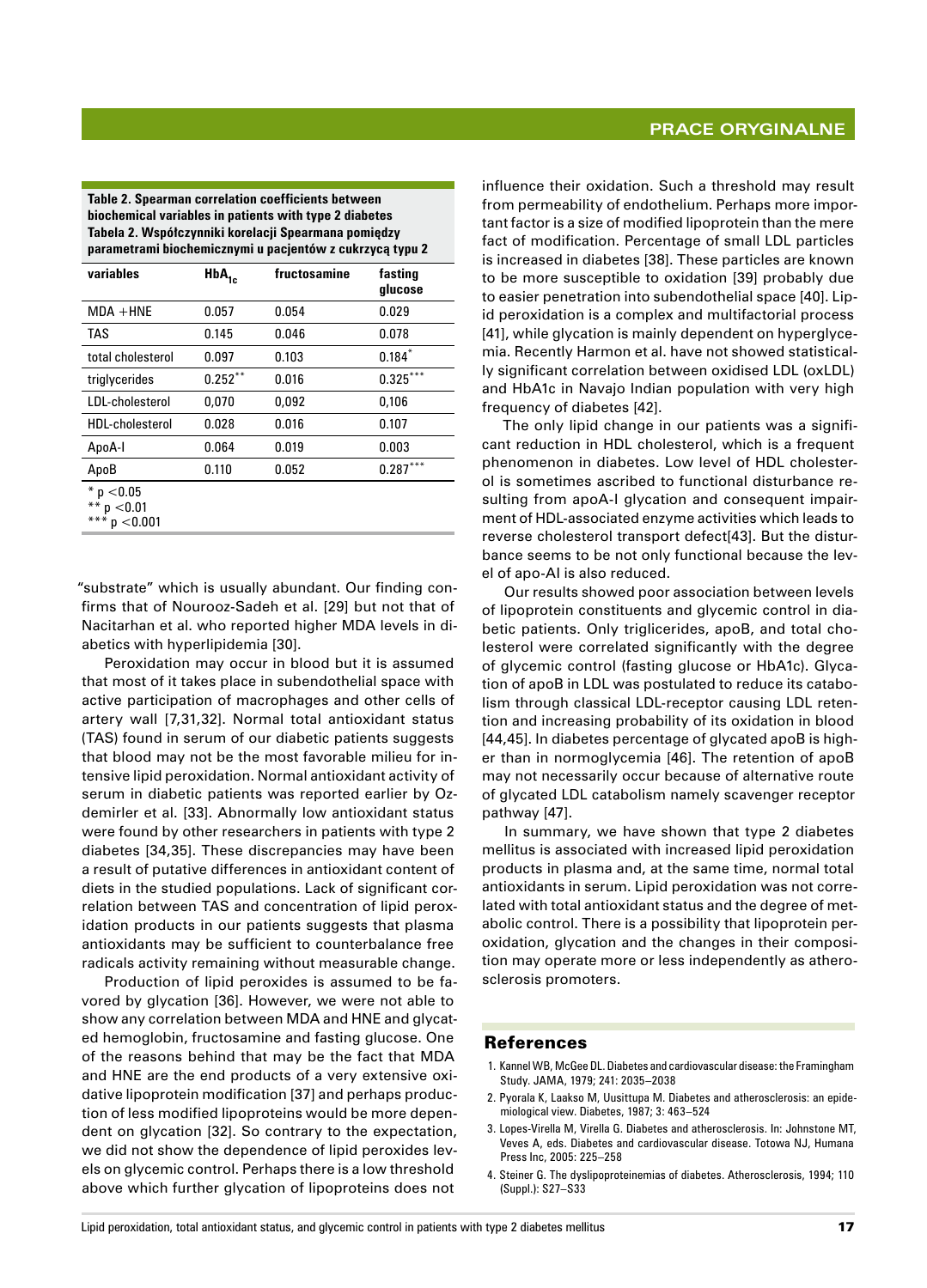**Table 2. Spearman correlation coefficients between biochemical variables in patients with type 2 diabetes Tabela 2. Współczynniki korelacji Spearmana pomiędzy parametrami biochemicznymi u pacjentów z cukrzycą typu 2**

| variables                               | $HbA_{1c}$ | fructosamine | fasting<br>qlucose |
|-----------------------------------------|------------|--------------|--------------------|
| $MDA + HNE$                             | 0.057      | 0.054        | 0.029              |
| <b>TAS</b>                              | 0.145      | 0.046        | 0.078              |
| total cholesterol                       | 0.097      | 0.103        | $0.184*$           |
| triglycerides                           | $0.252***$ | 0.016        | $***$<br>0.325     |
| LDL-cholesterol                         | 0,070      | 0,092        | 0,106              |
| HDL-cholesterol                         | 0.028      | 0.016        | 0.107              |
| ApoA-I                                  | 0.064      | 0.019        | 0.003              |
| ApoB                                    | 0.110      | 0.052        | $***$<br>0.287     |
| $*$ p $<$ 0.05<br>p < 0.01<br>p < 0.001 |            |              |                    |

"substrate" which is usually abundant. Our finding confirms that of Nourooz‑Sadeh et al. [29] but not that of Nacitarhan et al. who reported higher MDA levels in diabetics with hyperlipidemia [30].

Peroxidation may occur in blood but it is assumed that most of it takes place in subendothelial space with active participation of macrophages and other cells of artery wall [7,31,32]. Normal total antioxidant status (TAS) found in serum of our diabetic patients suggests that blood may not be the most favorable milieu for intensive lipid peroxidation. Normal antioxidant activity of serum in diabetic patients was reported earlier by Ozdemirler et al. [33]. Abnormally low antioxidant status were found by other researchers in patients with type 2 diabetes [34,35]. These discrepancies may have been a result of putative differences in antioxidant content of diets in the studied populations. Lack of significant correlation between TAS and concentration of lipid peroxidation products in our patients suggests that plasma antioxidants may be sufficient to counterbalance free radicals activity remaining without measurable change.

Production of lipid peroxides is assumed to be favored by glycation [36]. However, we were not able to show any correlation between MDA and HNE and glycated hemoglobin, fructosamine and fasting glucose. One of the reasons behind that may be the fact that MDA and HNE are the end products of a very extensive oxidative lipoprotein modification [37] and perhaps production of less modified lipoproteins would be more dependent on glycation [32]. So contrary to the expectation, we did not show the dependence of lipid peroxides levels on glycemic control. Perhaps there is a low threshold above which further glycation of lipoproteins does not influence their oxidation. Such a threshold may result from permeability of endothelium. Perhaps more important factor is a size of modified lipoprotein than the mere fact of modification. Percentage of small LDL particles is increased in diabetes [38]. These particles are known to be more susceptible to oxidation [39] probably due to easier penetration into subendothelial space [40]. Lipid peroxidation is a complex and multifactorial process [41], while glycation is mainly dependent on hyperglycemia. Recently Harmon et al. have not showed statistically significant correlation between oxidised LDL (oxLDL) and HbA1c in Navajo Indian population with very high frequency of diabetes [42].

The only lipid change in our patients was a significant reduction in HDL cholesterol, which is a frequent phenomenon in diabetes. Low level of HDL cholesterol is sometimes ascribed to functional disturbance resulting from apoA-I glycation and consequent impairment of HDL‑associated enzyme activities which leads to reverse cholesterol transport defect[43]. But the disturbance seems to be not only functional because the level of apo‑AI is also reduced.

Our results showed poor association between levels of lipoprotein constituents and glycemic control in diabetic patients. Only triglicerides, apoB, and total cholesterol were correlated significantly with the degree of glycemic control (fasting glucose or HbA1c). Glycation of apoB in LDL was postulated to reduce its catabolism through classical LDL-receptor causing LDL retention and increasing probability of its oxidation in blood [44,45]. In diabetes percentage of glycated apoB is higher than in normoglycemia [46]. The retention of apoB may not necessarily occur because of alternative route of glycated LDL catabolism namely scavenger receptor pathway [47].

In summary, we have shown that type 2 diabetes mellitus is associated with increased lipid peroxidation products in plasma and, at the same time, normal total antioxidants in serum. Lipid peroxidation was not correlated with total antioxidant status and the degree of metabolic control. There is a possibility that lipoprotein peroxidation, glycation and the changes in their composition may operate more or less independently as atherosclerosis promoters.

#### References

- 1. Kannel WB, McGee DL. Diabetes and cardiovascular disease: the Framingham Study. JAMA, 1979; 241: 2035–2038
- 2. Pyorala K, Laakso M, Uusittupa M. Diabetes and atherosclerosis: an epide‑ miological view. Diabetes, 1987; 3: 463–524
- 3. Lopes‑Virella M, Virella G. Diabetes and atherosclerosis. In: Johnstone MT, Veves A, eds. Diabetes and cardiovascular disease. Totowa NJ, Humana Press Inc, 2005: 225–258
- 4. Steiner G. The dyslipoproteinemias of diabetes. Atherosclerosis, 1994; 110 (Suppl.): S27–S33